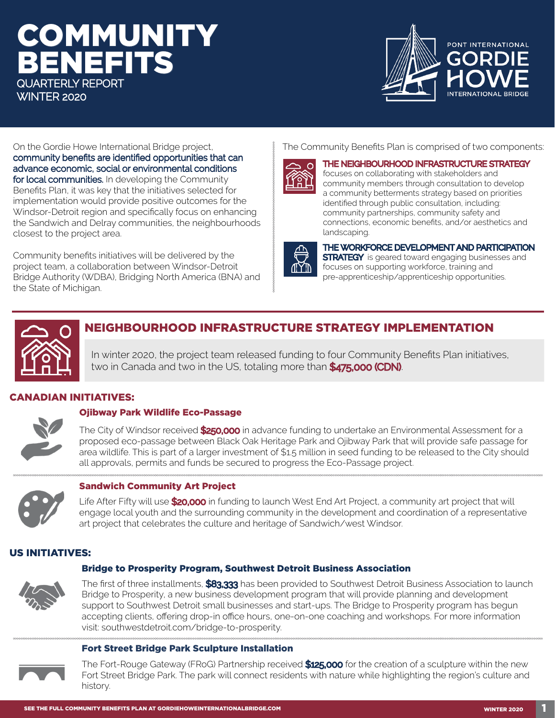## **COMMUNITY** BENEFITS QUARTERLY REPORT WINTER 2020



On the Gordie Howe International Bridge project, community benefits are identified opportunities that can advance economic, social or environmental conditions for local communities. In developing the Community Benefits Plan, it was key that the initiatives selected for implementation would provide positive outcomes for the Windsor-Detroit region and specifically focus on enhancing the Sandwich and Delray communities, the neighbourhoods closest to the project area.

Community benefits initiatives will be delivered by the project team, a collaboration between Windsor-Detroit Bridge Authority (WDBA), Bridging North America (BNA) and the State of Michigan.

#### The Community Benefits Plan is comprised of two components:



THE NEIGHBOURHOOD INFRASTRUCTURE STRATEGY focuses on collaborating with stakeholders and community members through consultation to develop a community betterments strategy based on priorities identified through public consultation, including: community partnerships, community safety and connections, economic benefits, and/or aesthetics and landscaping.



#### THE WORKFORCE DEVELOPMENT AND PARTICIPATION

**STRATEGY** is geared toward engaging businesses and focuses on supporting workforce, training and pre-apprenticeship/apprenticeship opportunities.



#### NEIGHBOURHOOD INFRASTRUCTURE STRATEGY IMPLEMENTATION

In winter 2020, the project team released funding to four Community Benefits Plan initiatives, two in Canada and two in the US, totaling more than \$475,000 (CDN).

#### CANADIAN INITIATIVES:





The City of Windsor received \$250,000 in advance funding to undertake an Environmental Assessment for a

proposed eco-passage between Black Oak Heritage Park and Ojibway Park that will provide safe passage for area wildlife. This is part of a larger investment of \$1.5 million in seed funding to be released to the City should all approvals, permits and funds be secured to progress the Eco-Passage project.



#### Sandwich Community Art Project

Life After Fifty will use \$20,000 in funding to launch West End Art Project, a community art project that will engage local youth and the surrounding community in the development and coordination of a representative art project that celebrates the culture and heritage of Sandwich/west Windsor.

#### US INITIATIVES:

#### Bridge to Prosperity Program, Southwest Detroit Business Association



The first of three installments, \$83,333 has been provided to Southwest Detroit Business Association to launch Bridge to Prosperity, a new business development program that will provide planning and development support to Southwest Detroit small businesses and start-ups. The Bridge to Prosperity program has begun accepting clients, offering drop-in office hours, one-on-one coaching and workshops. For more information visit: southwestdetroit.com/bridge-to-prosperity.

#### Fort Street Bridge Park Sculpture Installation



The Fort-Rouge Gateway (FRoG) Partnership received \$125,000 for the creation of a sculpture within the new Fort Street Bridge Park. The park will connect residents with nature while highlighting the region's culture and history.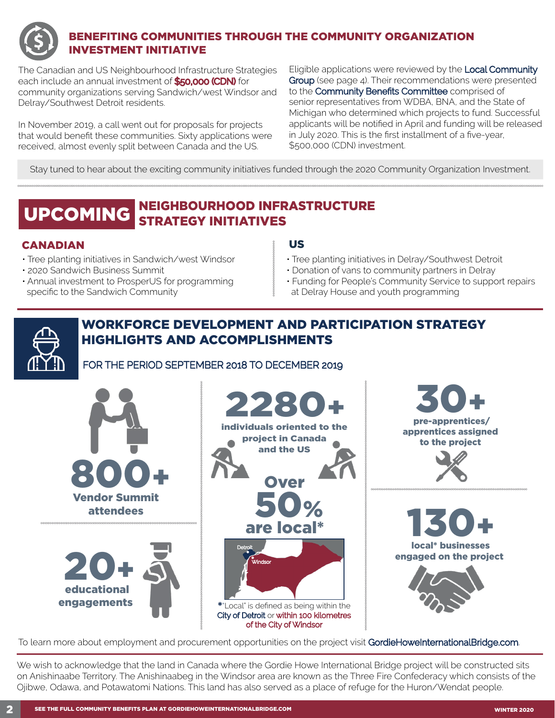

#### BENEFITING COMMUNITIES THROUGH THE COMMUNITY ORGANIZATION INVESTMENT INITIATIVE

The Canadian and US Neighbourhood Infrastructure Strategies each include an annual investment of **\$50,000 (CDN)** for community organizations serving Sandwich/west Windsor and Delray/Southwest Detroit residents.

In November 2019, a call went out for proposals for projects that would benefit these communities. Sixty applications were received, almost evenly split between Canada and the US.

Eligible applications were reviewed by the Local Community Group (see page 4). Their recommendations were presented to the Community Benefits Committee comprised of senior representatives from WDBA, BNA, and the State of Michigan who determined which projects to fund. Successful applicants will be notified in April and funding will be released in July 2020. This is the first installment of a five-year, \$500,000 (CDN) investment.

Stay tuned to hear about the exciting community initiatives funded through the 2020 Community Organization Investment.

#### NEIGHBOURHOOD INFRASTRUCTURE STRATEGY INITIATIVES UPCOMING

#### CANADIAN US

- Tree planting initiatives in Sandwich/west Windsor
- 2020 Sandwich Business Summit
- Annual investment to ProsperUS for programming specific to the Sandwich Community

- Tree planting initiatives in Delray/Southwest Detroit
- Donation of vans to community partners in Delray
- Funding for People's Community Service to support repairs at Delray House and youth programming

### WORKFORCE DEVELOPMENT AND PARTICIPATION STRATEGY HIGHLIGHTS AND ACCOMPLISHMENTS

FOR THE PERIOD SEPTEMBER 2018 TO DECEMBER 2019



To learn more about employment and procurement opportunities on the project visit GordieHoweInternationalBridge.com.

We wish to acknowledge that the land in Canada where the Gordie Howe International Bridge project will be constructed sits on Anishinaabe Territory. The Anishinaabeg in the Windsor area are known as the Three Fire Confederacy which consists of the Ojibwe, Odawa, and Potawatomi Nations. This land has also served as a place of refuge for the Huron/Wendat people.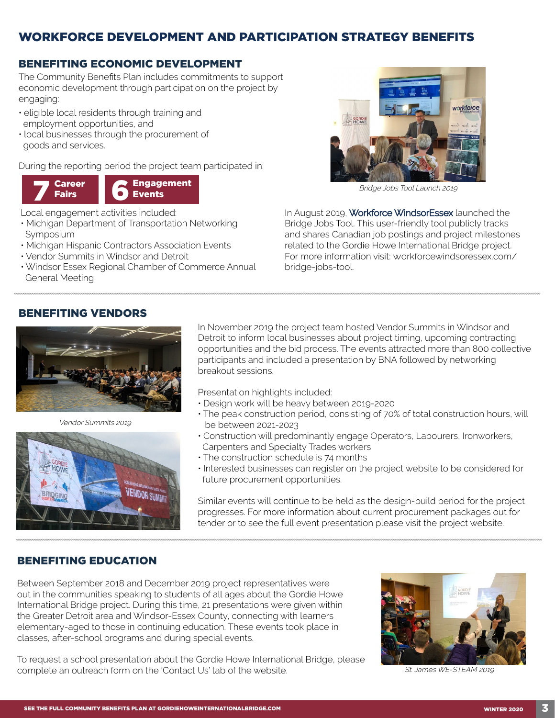#### WORKFORCE DEVELOPMENT AND PARTICIPATION STRATEGY BENEFITS

#### BENEFITING ECONOMIC DEVELOPMENT

The Community Benefits Plan includes commitments to support economic development through participation on the project by engaging:

- eligible local residents through training and employment opportunities, and
- local businesses through the procurement of goods and services.

During the reporting period the project team participated in:



Local engagement activities included:

- Michigan Department of Transportation Networking Symposium
- Michigan Hispanic Contractors Association Events
- Vendor Summits in Windsor and Detroit
- Windsor Essex Regional Chamber of Commerce Annual General Meeting



Bridge Jobs Tool Launch 2019

In August 2019, Workforce WindsorEssex launched the Bridge Jobs Tool. This user-friendly tool publicly tracks and shares Canadian job postings and project milestones related to the Gordie Howe International Bridge project. For more information visit: workforcewindsoressex.com/ bridge-jobs-tool.

#### BENEFITING VENDORS



Vendor Summits 2019



In November 2019 the project team hosted Vendor Summits in Windsor and Detroit to inform local businesses about project timing, upcoming contracting opportunities and the bid process. The events attracted more than 800 collective participants and included a presentation by BNA followed by networking breakout sessions.

Presentation highlights included:

- Design work will be heavy between 2019-2020
- The peak construction period, consisting of 70% of total construction hours, will be between 2021-2023
- Construction will predominantly engage Operators, Labourers, Ironworkers, Carpenters and Specialty Trades workers
- The construction schedule is 74 months
- Interested businesses can register on the project website to be considered for future procurement opportunities.

Similar events will continue to be held as the design-build period for the project progresses. For more information about current procurement packages out for tender or to see the full event presentation please visit the project website.

#### BENEFITING EDUCATION

Between September 2018 and December 2019 project representatives were out in the communities speaking to students of all ages about the Gordie Howe International Bridge project. During this time, 21 presentations were given within the Greater Detroit area and Windsor-Essex County, connecting with learners elementary-aged to those in continuing education. These events took place in classes, after-school programs and during special events.

To request a school presentation about the Gordie Howe International Bridge, please complete an outreach form on the 'Contact Us' tab of the website.



St. James WE-STEAM 2019